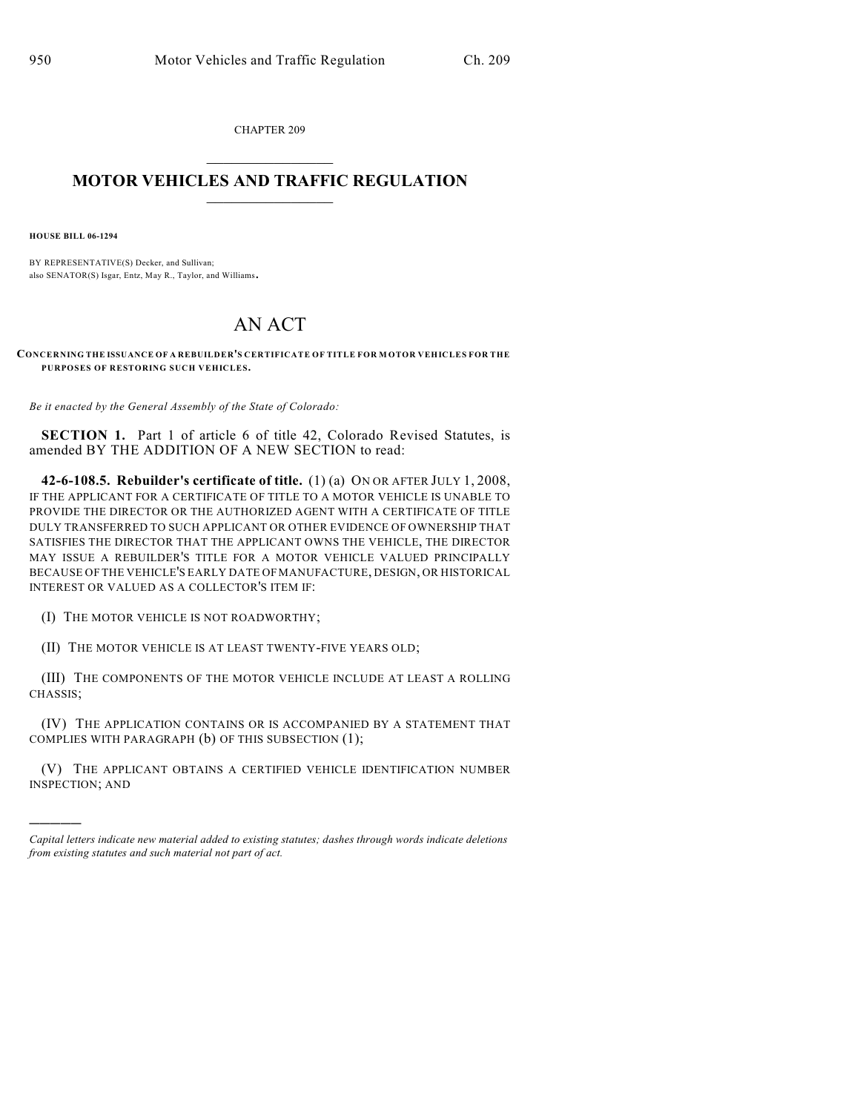CHAPTER 209

## $\mathcal{L}_\text{max}$  . The set of the set of the set of the set of the set of the set of the set of the set of the set of the set of the set of the set of the set of the set of the set of the set of the set of the set of the set **MOTOR VEHICLES AND TRAFFIC REGULATION**  $\frac{1}{2}$  ,  $\frac{1}{2}$  ,  $\frac{1}{2}$  ,  $\frac{1}{2}$  ,  $\frac{1}{2}$  ,  $\frac{1}{2}$  ,  $\frac{1}{2}$  ,  $\frac{1}{2}$

**HOUSE BILL 06-1294**

)))))

BY REPRESENTATIVE(S) Decker, and Sullivan; also SENATOR(S) Isgar, Entz, May R., Taylor, and Williams.

## AN ACT

**CONCERNING THE ISSUANCE OF A REBUILDER'S CERTIFICATE OF TITLE FOR MOTOR VEHICLES FOR THE PURPOSES OF RESTORING SUCH VEHICLES.**

*Be it enacted by the General Assembly of the State of Colorado:*

**SECTION 1.** Part 1 of article 6 of title 42, Colorado Revised Statutes, is amended BY THE ADDITION OF A NEW SECTION to read:

**42-6-108.5. Rebuilder's certificate of title.** (1) (a) ON OR AFTER JULY 1, 2008, IF THE APPLICANT FOR A CERTIFICATE OF TITLE TO A MOTOR VEHICLE IS UNABLE TO PROVIDE THE DIRECTOR OR THE AUTHORIZED AGENT WITH A CERTIFICATE OF TITLE DULY TRANSFERRED TO SUCH APPLICANT OR OTHER EVIDENCE OF OWNERSHIP THAT SATISFIES THE DIRECTOR THAT THE APPLICANT OWNS THE VEHICLE, THE DIRECTOR MAY ISSUE A REBUILDER'S TITLE FOR A MOTOR VEHICLE VALUED PRINCIPALLY BECAUSE OF THE VEHICLE'S EARLY DATE OF MANUFACTURE, DESIGN, OR HISTORICAL INTEREST OR VALUED AS A COLLECTOR'S ITEM IF:

(I) THE MOTOR VEHICLE IS NOT ROADWORTHY;

(II) THE MOTOR VEHICLE IS AT LEAST TWENTY-FIVE YEARS OLD;

(III) THE COMPONENTS OF THE MOTOR VEHICLE INCLUDE AT LEAST A ROLLING CHASSIS;

(IV) THE APPLICATION CONTAINS OR IS ACCOMPANIED BY A STATEMENT THAT COMPLIES WITH PARAGRAPH (b) OF THIS SUBSECTION (1);

(V) THE APPLICANT OBTAINS A CERTIFIED VEHICLE IDENTIFICATION NUMBER INSPECTION; AND

*Capital letters indicate new material added to existing statutes; dashes through words indicate deletions from existing statutes and such material not part of act.*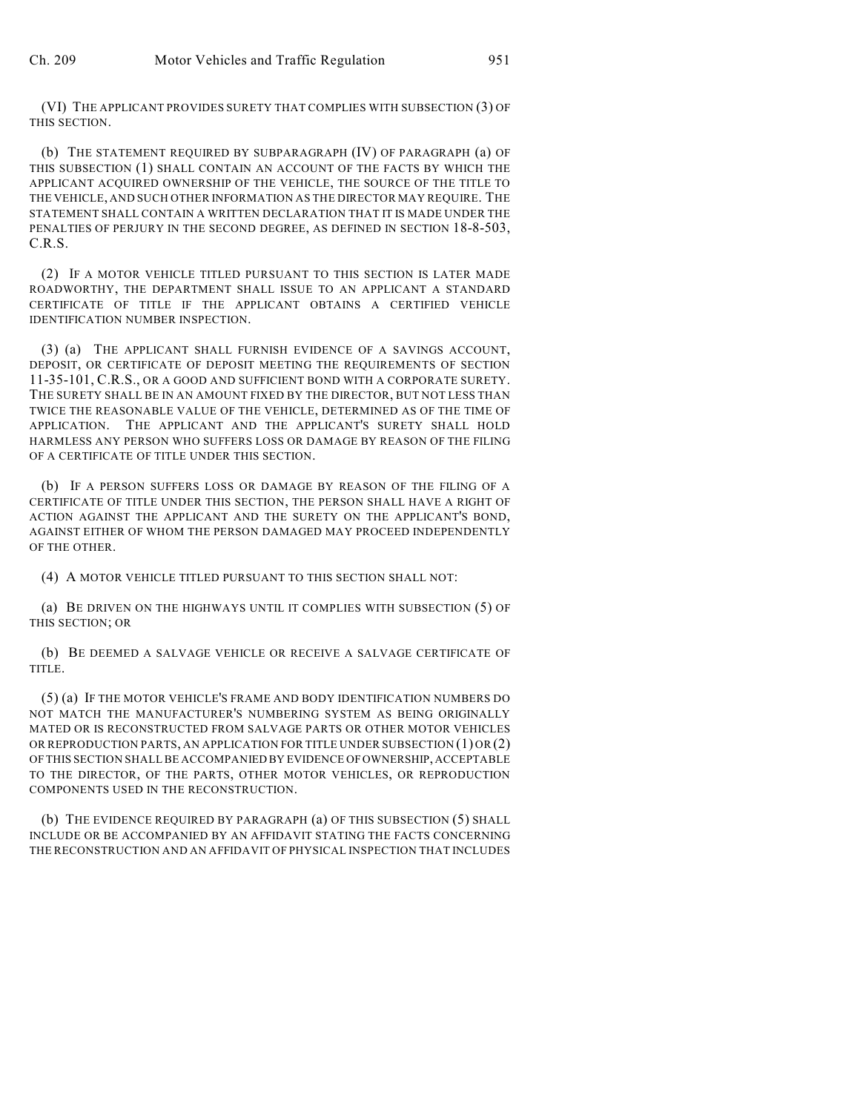(VI) THE APPLICANT PROVIDES SURETY THAT COMPLIES WITH SUBSECTION (3) OF THIS SECTION.

(b) THE STATEMENT REQUIRED BY SUBPARAGRAPH (IV) OF PARAGRAPH (a) OF THIS SUBSECTION (1) SHALL CONTAIN AN ACCOUNT OF THE FACTS BY WHICH THE APPLICANT ACQUIRED OWNERSHIP OF THE VEHICLE, THE SOURCE OF THE TITLE TO THE VEHICLE, AND SUCH OTHER INFORMATION AS THE DIRECTOR MAY REQUIRE. THE STATEMENT SHALL CONTAIN A WRITTEN DECLARATION THAT IT IS MADE UNDER THE PENALTIES OF PERJURY IN THE SECOND DEGREE, AS DEFINED IN SECTION 18-8-503, C.R.S.

(2) IF A MOTOR VEHICLE TITLED PURSUANT TO THIS SECTION IS LATER MADE ROADWORTHY, THE DEPARTMENT SHALL ISSUE TO AN APPLICANT A STANDARD CERTIFICATE OF TITLE IF THE APPLICANT OBTAINS A CERTIFIED VEHICLE IDENTIFICATION NUMBER INSPECTION.

(3) (a) THE APPLICANT SHALL FURNISH EVIDENCE OF A SAVINGS ACCOUNT, DEPOSIT, OR CERTIFICATE OF DEPOSIT MEETING THE REQUIREMENTS OF SECTION 11-35-101, C.R.S., OR A GOOD AND SUFFICIENT BOND WITH A CORPORATE SURETY. THE SURETY SHALL BE IN AN AMOUNT FIXED BY THE DIRECTOR, BUT NOT LESS THAN TWICE THE REASONABLE VALUE OF THE VEHICLE, DETERMINED AS OF THE TIME OF APPLICATION. THE APPLICANT AND THE APPLICANT'S SURETY SHALL HOLD HARMLESS ANY PERSON WHO SUFFERS LOSS OR DAMAGE BY REASON OF THE FILING OF A CERTIFICATE OF TITLE UNDER THIS SECTION.

(b) IF A PERSON SUFFERS LOSS OR DAMAGE BY REASON OF THE FILING OF A CERTIFICATE OF TITLE UNDER THIS SECTION, THE PERSON SHALL HAVE A RIGHT OF ACTION AGAINST THE APPLICANT AND THE SURETY ON THE APPLICANT'S BOND, AGAINST EITHER OF WHOM THE PERSON DAMAGED MAY PROCEED INDEPENDENTLY OF THE OTHER.

(4) A MOTOR VEHICLE TITLED PURSUANT TO THIS SECTION SHALL NOT:

(a) BE DRIVEN ON THE HIGHWAYS UNTIL IT COMPLIES WITH SUBSECTION (5) OF THIS SECTION; OR

(b) BE DEEMED A SALVAGE VEHICLE OR RECEIVE A SALVAGE CERTIFICATE OF TITLE.

(5) (a) IF THE MOTOR VEHICLE'S FRAME AND BODY IDENTIFICATION NUMBERS DO NOT MATCH THE MANUFACTURER'S NUMBERING SYSTEM AS BEING ORIGINALLY MATED OR IS RECONSTRUCTED FROM SALVAGE PARTS OR OTHER MOTOR VEHICLES OR REPRODUCTION PARTS, AN APPLICATION FOR TITLE UNDER SUBSECTION (1) OR (2) OF THIS SECTION SHALL BE ACCOMPANIED BY EVIDENCE OF OWNERSHIP, ACCEPTABLE TO THE DIRECTOR, OF THE PARTS, OTHER MOTOR VEHICLES, OR REPRODUCTION COMPONENTS USED IN THE RECONSTRUCTION.

(b) THE EVIDENCE REQUIRED BY PARAGRAPH (a) OF THIS SUBSECTION (5) SHALL INCLUDE OR BE ACCOMPANIED BY AN AFFIDAVIT STATING THE FACTS CONCERNING THE RECONSTRUCTION AND AN AFFIDAVIT OF PHYSICAL INSPECTION THAT INCLUDES